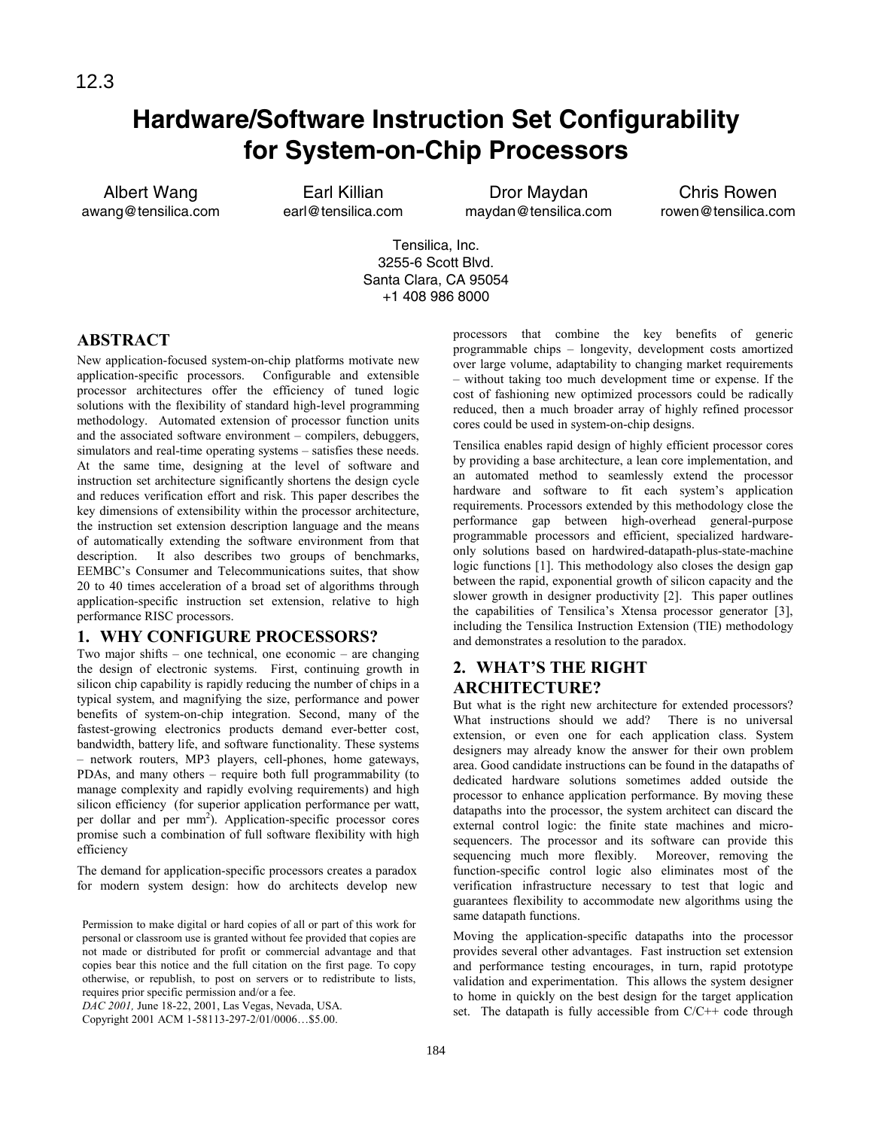12.3

# **Hardware/Software Instruction Set Configurability for System-on-Chip Processors**

Albert Wang awang@tensilica.com

Earl Killian earl@tensilica.com

Dror Maydan maydan@tensilica.com

Chris Rowen rowen@tensilica.com

Tensilica, Inc. 3255-6 Scott Blvd. Santa Clara, CA 95054 +1 408 986 8000

# **ABSTRACT**

New application-focused system-on-chip platforms motivate new application-specific processors. Configurable and extensible processor architectures offer the efficiency of tuned logic solutions with the flexibility of standard high-level programming methodology. Automated extension of processor function units and the associated software environment – compilers, debuggers, simulators and real-time operating systems – satisfies these needs. At the same time, designing at the level of software and instruction set architecture significantly shortens the design cycle and reduces verification effort and risk. This paper describes the key dimensions of extensibility within the processor architecture, the instruction set extension description language and the means of automatically extending the software environment from that description. It also describes two groups of benchmarks, EEMBC's Consumer and Telecommunications suites, that show 20 to 40 times acceleration of a broad set of algorithms through application-specific instruction set extension, relative to high performance RISC processors.

# **1. WHY CONFIGURE PROCESSORS?**

Two major shifts – one technical, one economic – are changing the design of electronic systems. First, continuing growth in silicon chip capability is rapidly reducing the number of chips in a typical system, and magnifying the size, performance and power benefits of system-on-chip integration. Second, many of the fastest-growing electronics products demand ever-better cost, bandwidth, battery life, and software functionality. These systems – network routers, MP3 players, cell-phones, home gateways, PDAs, and many others – require both full programmability (to manage complexity and rapidly evolving requirements) and high silicon efficiency (for superior application performance per watt, per dollar and per mm<sup>2</sup>). Application-specific processor cores promise such a combination of full software flexibility with high efficiency

The demand for application-specific processors creates a paradox for modern system design: how do architects develop new

*DAC 2001,* June 18-22, 2001, Las Vegas, Nevada, USA.

Copyright 2001 ACM 1-58113-297-2/01/0006…\$5.00.

processors that combine the key benefits of generic programmable chips – longevity, development costs amortized over large volume, adaptability to changing market requirements – without taking too much development time or expense. If the cost of fashioning new optimized processors could be radically reduced, then a much broader array of highly refined processor cores could be used in system-on-chip designs.

Tensilica enables rapid design of highly efficient processor cores by providing a base architecture, a lean core implementation, and an automated method to seamlessly extend the processor hardware and software to fit each system's application requirements. Processors extended by this methodology close the performance gap between high-overhead general-purpose programmable processors and efficient, specialized hardwareonly solutions based on hardwired-datapath-plus-state-machine logic functions [1]. This methodology also closes the design gap between the rapid, exponential growth of silicon capacity and the slower growth in designer productivity [2]. This paper outlines the capabilities of Tensilica's Xtensa processor generator [3], including the Tensilica Instruction Extension (TIE) methodology and demonstrates a resolution to the paradox.

# **2. WHAT'S THE RIGHT ARCHITECTURE?**

But what is the right new architecture for extended processors? What instructions should we add? There is no universal extension, or even one for each application class. System designers may already know the answer for their own problem area. Good candidate instructions can be found in the datapaths of dedicated hardware solutions sometimes added outside the processor to enhance application performance. By moving these datapaths into the processor, the system architect can discard the external control logic: the finite state machines and microsequencers. The processor and its software can provide this sequencing much more flexibly. Moreover, removing the function-specific control logic also eliminates most of the verification infrastructure necessary to test that logic and guarantees flexibility to accommodate new algorithms using the same datapath functions.

Moving the application-specific datapaths into the processor provides several other advantages. Fast instruction set extension and performance testing encourages, in turn, rapid prototype validation and experimentation. This allows the system designer to home in quickly on the best design for the target application set. The datapath is fully accessible from C/C++ code through

Permission to make digital or hard copies of all or part of this work for personal or classroom use is granted without fee provided that copies are not made or distributed for profit or commercial advantage and that copies bear this notice and the full citation on the first page. To copy otherwise, or republish, to post on servers or to redistribute to lists, requires prior specific permission and/or a fee.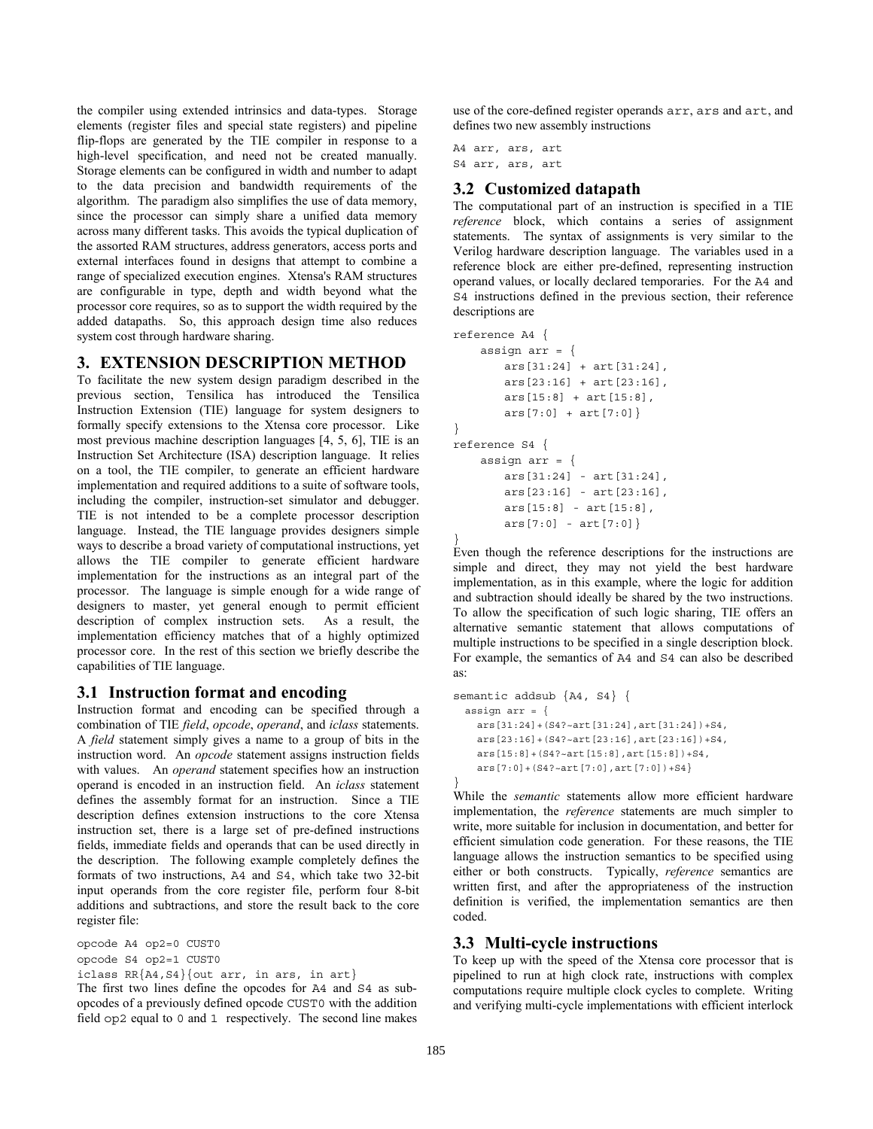the compiler using extended intrinsics and data-types. Storage elements (register files and special state registers) and pipeline flip-flops are generated by the TIE compiler in response to a high-level specification, and need not be created manually. Storage elements can be configured in width and number to adapt to the data precision and bandwidth requirements of the algorithm. The paradigm also simplifies the use of data memory, since the processor can simply share a unified data memory across many different tasks. This avoids the typical duplication of the assorted RAM structures, address generators, access ports and external interfaces found in designs that attempt to combine a range of specialized execution engines. Xtensa's RAM structures are configurable in type, depth and width beyond what the processor core requires, so as to support the width required by the added datapaths. So, this approach design time also reduces system cost through hardware sharing.

## **3. EXTENSION DESCRIPTION METHOD**

To facilitate the new system design paradigm described in the previous section, Tensilica has introduced the Tensilica Instruction Extension (TIE) language for system designers to formally specify extensions to the Xtensa core processor. Like most previous machine description languages [4, 5, 6], TIE is an Instruction Set Architecture (ISA) description language. It relies on a tool, the TIE compiler, to generate an efficient hardware implementation and required additions to a suite of software tools, including the compiler, instruction-set simulator and debugger. TIE is not intended to be a complete processor description language. Instead, the TIE language provides designers simple ways to describe a broad variety of computational instructions, yet allows the TIE compiler to generate efficient hardware implementation for the instructions as an integral part of the processor. The language is simple enough for a wide range of designers to master, yet general enough to permit efficient description of complex instruction sets. As a result, the implementation efficiency matches that of a highly optimized processor core. In the rest of this section we briefly describe the capabilities of TIE language.

## **3.1 Instruction format and encoding**

Instruction format and encoding can be specified through a combination of TIE *field*, *opcode*, *operand*, and *iclass* statements. A *field* statement simply gives a name to a group of bits in the instruction word. An *opcode* statement assigns instruction fields with values. An *operand* statement specifies how an instruction operand is encoded in an instruction field. An *iclass* statement defines the assembly format for an instruction. Since a TIE description defines extension instructions to the core Xtensa instruction set, there is a large set of pre-defined instructions fields, immediate fields and operands that can be used directly in the description. The following example completely defines the formats of two instructions, A4 and S4, which take two 32-bit input operands from the core register file, perform four 8-bit additions and subtractions, and store the result back to the core register file:

opcode A4 op2=0 CUST0 opcode S4 op2=1 CUST0 iclass  $RR{A4, S4}$  (out arr, in ars, in art)

The first two lines define the opcodes for A4 and S4 as subopcodes of a previously defined opcode CUST0 with the addition field op2 equal to 0 and 1 respectively. The second line makes use of the core-defined register operands arr, ars and art, and defines two new assembly instructions

A4 arr, ars, art S4 arr, ars, art

## **3.2 Customized datapath**

The computational part of an instruction is specified in a TIE *reference* block, which contains a series of assignment statements. The syntax of assignments is very similar to the Verilog hardware description language. The variables used in a reference block are either pre-defined, representing instruction operand values, or locally declared temporaries. For the A4 and S4 instructions defined in the previous section, their reference descriptions are

```
reference A4 { 
    assign arr = \{ars[31:24] + art[31:24], 
       ars[23:16] + art[23:16], ars[15:8] + art[15:8], 
       ars[7:0] + art[7:0]} 
reference S4 { 
    assign arr = \{ars[31:24] - art[31:24], 
        ars[23:16] - art[23:16], 
        ars[15:8] - art[15:8], 
       ars[7:0] - art[7:0]}
```
Even though the reference descriptions for the instructions are simple and direct, they may not yield the best hardware implementation, as in this example, where the logic for addition and subtraction should ideally be shared by the two instructions. To allow the specification of such logic sharing, TIE offers an alternative semantic statement that allows computations of multiple instructions to be specified in a single description block. For example, the semantics of A4 and S4 can also be described as:

```
semantic addsub {A4, S4} { 
 assign arr = \{ ars[31:24]+(S4?~art[31:24],art[31:24])+S4, 
    ars[23:16]+(S4?~art[23:16],art[23:16])+S4, 
    ars[15:8]+(S4?~art[15:8],art[15:8])+S4, 
     ars[7:0]+(S4?~art[7:0],art[7:0])+S4}
}
```
While the *semantic* statements allow more efficient hardware implementation, the *reference* statements are much simpler to write, more suitable for inclusion in documentation, and better for efficient simulation code generation. For these reasons, the TIE language allows the instruction semantics to be specified using either or both constructs. Typically, *reference* semantics are written first, and after the appropriateness of the instruction definition is verified, the implementation semantics are then coded.

#### **3.3 Multi-cycle instructions**

To keep up with the speed of the Xtensa core processor that is pipelined to run at high clock rate, instructions with complex computations require multiple clock cycles to complete. Writing and verifying multi-cycle implementations with efficient interlock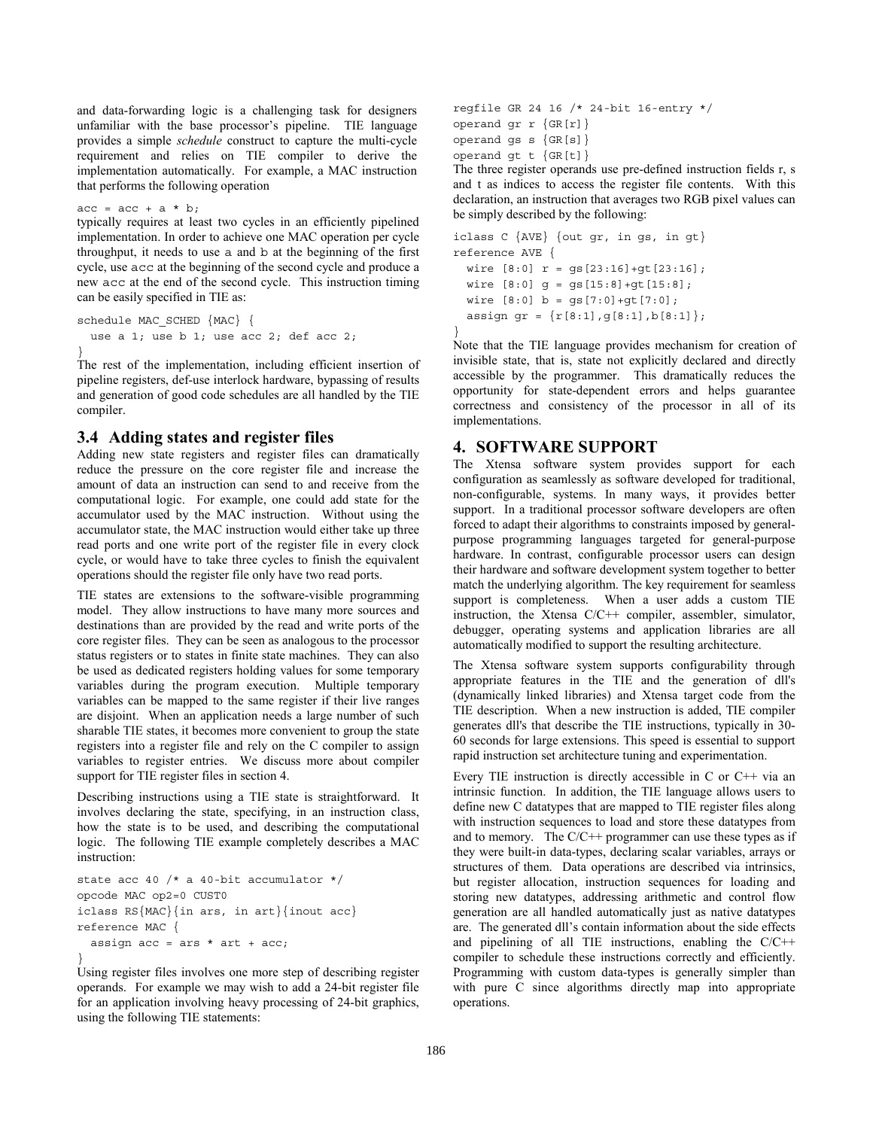and data-forwarding logic is a challenging task for designers unfamiliar with the base processor's pipeline. TIE language provides a simple *schedule* construct to capture the multi-cycle requirement and relies on TIE compiler to derive the implementation automatically. For example, a MAC instruction that performs the following operation

 $acc = acc + a * b$ ;

typically requires at least two cycles in an efficiently pipelined implementation. In order to achieve one MAC operation per cycle throughput, it needs to use a and b at the beginning of the first cycle, use acc at the beginning of the second cycle and produce a new acc at the end of the second cycle. This instruction timing can be easily specified in TIE as:

```
schedule MAC_SCHED {MAC} { 
 use a 1; use b 1; use acc 2; def acc 2;
}
```
The rest of the implementation, including efficient insertion of pipeline registers, def-use interlock hardware, bypassing of results and generation of good code schedules are all handled by the TIE compiler.

# **3.4 Adding states and register files**

Adding new state registers and register files can dramatically reduce the pressure on the core register file and increase the amount of data an instruction can send to and receive from the computational logic. For example, one could add state for the accumulator used by the MAC instruction. Without using the accumulator state, the MAC instruction would either take up three read ports and one write port of the register file in every clock cycle, or would have to take three cycles to finish the equivalent operations should the register file only have two read ports.

TIE states are extensions to the software-visible programming model. They allow instructions to have many more sources and destinations than are provided by the read and write ports of the core register files. They can be seen as analogous to the processor status registers or to states in finite state machines. They can also be used as dedicated registers holding values for some temporary variables during the program execution. Multiple temporary variables can be mapped to the same register if their live ranges are disjoint. When an application needs a large number of such sharable TIE states, it becomes more convenient to group the state registers into a register file and rely on the C compiler to assign variables to register entries. We discuss more about compiler support for TIE register files in section 4.

Describing instructions using a TIE state is straightforward. It involves declaring the state, specifying, in an instruction class, how the state is to be used, and describing the computational logic. The following TIE example completely describes a MAC instruction:

```
state acc 40 /* a 40-bit accumulator */ 
opcode MAC op2=0 CUST0 
iclass RS{MAC}{in ars, in art}{inout acc} 
reference MAC { 
 assign acc = ars * art + acc;}
```
Using register files involves one more step of describing register operands. For example we may wish to add a 24-bit register file for an application involving heavy processing of 24-bit graphics, using the following TIE statements:

```
regfile GR 24 16 /* 24-bit 16-entry */ 
operand gr r \{GR[r]\}operand qs s \{GR[s] \}operand gt t {GR[t]} 
The three register operands use pre-defined instruction fields r, s
```
and t as indices to access the register file contents. With this declaration, an instruction that averages two RGB pixel values can be simply described by the following:

```
iclass C {AVE} {out gr, in gs, in gt} 
reference AVE { 
 wire [8:0] r = gs[23:16]+gt[23:16];
 wire [8:0] g = gs[15:8]+gt[15:8];
 wire [8:0] b = gs[7:0]+gt[7:0];
  assign gr = {r[8:1], q[8:1], b[8:1]},}
```
Note that the TIE language provides mechanism for creation of invisible state, that is, state not explicitly declared and directly accessible by the programmer. This dramatically reduces the opportunity for state-dependent errors and helps guarantee correctness and consistency of the processor in all of its implementations.

# **4. SOFTWARE SUPPORT**

The Xtensa software system provides support for each configuration as seamlessly as software developed for traditional, non-configurable, systems. In many ways, it provides better support. In a traditional processor software developers are often forced to adapt their algorithms to constraints imposed by generalpurpose programming languages targeted for general-purpose hardware. In contrast, configurable processor users can design their hardware and software development system together to better match the underlying algorithm. The key requirement for seamless support is completeness. When a user adds a custom TIE instruction, the Xtensa C/C++ compiler, assembler, simulator, debugger, operating systems and application libraries are all automatically modified to support the resulting architecture.

The Xtensa software system supports configurability through appropriate features in the TIE and the generation of dll's (dynamically linked libraries) and Xtensa target code from the TIE description. When a new instruction is added, TIE compiler generates dll's that describe the TIE instructions, typically in 30- 60 seconds for large extensions. This speed is essential to support rapid instruction set architecture tuning and experimentation.

Every TIE instruction is directly accessible in  $C$  or  $C++$  via an intrinsic function. In addition, the TIE language allows users to define new C datatypes that are mapped to TIE register files along with instruction sequences to load and store these datatypes from and to memory. The  $C/C++$  programmer can use these types as if they were built-in data-types, declaring scalar variables, arrays or structures of them. Data operations are described via intrinsics, but register allocation, instruction sequences for loading and storing new datatypes, addressing arithmetic and control flow generation are all handled automatically just as native datatypes are. The generated dll's contain information about the side effects and pipelining of all TIE instructions, enabling the C/C++ compiler to schedule these instructions correctly and efficiently. Programming with custom data-types is generally simpler than with pure C since algorithms directly map into appropriate operations.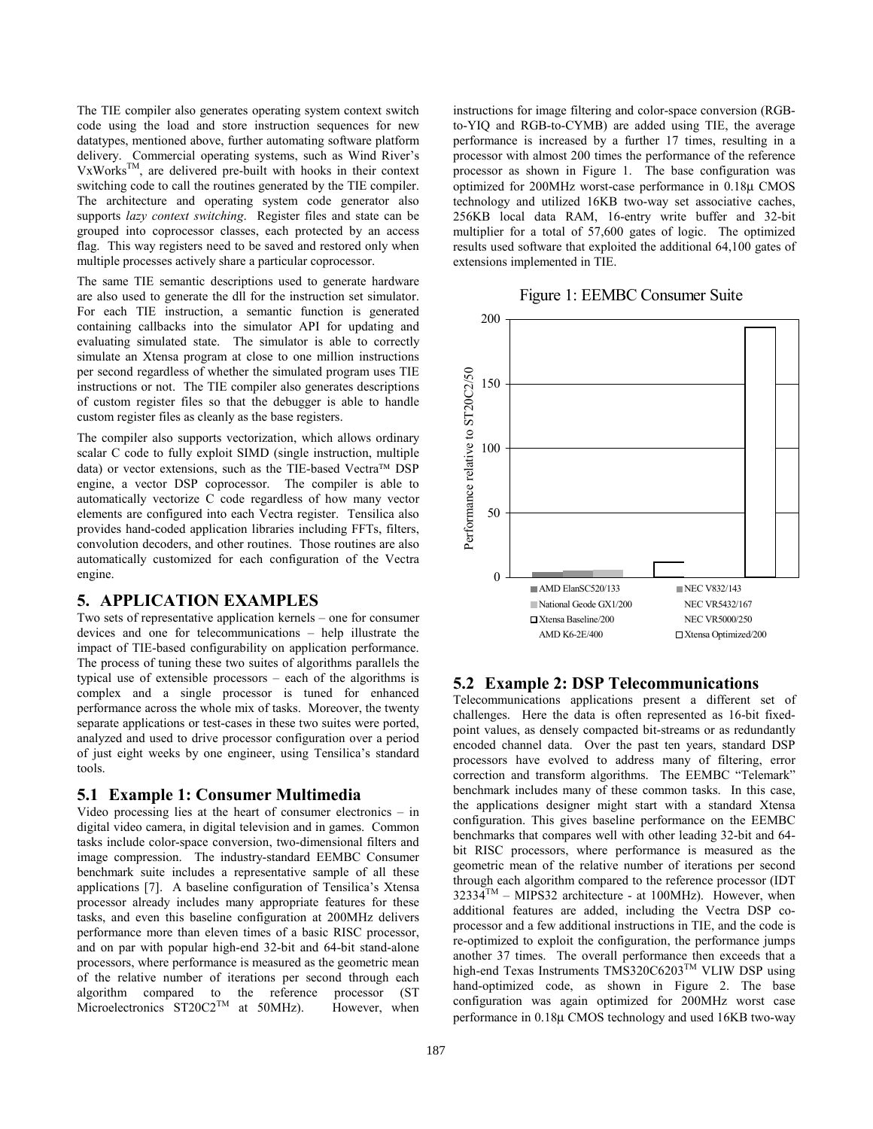The TIE compiler also generates operating system context switch code using the load and store instruction sequences for new datatypes, mentioned above, further automating software platform delivery. Commercial operating systems, such as Wind River's VxWorksTM, are delivered pre-built with hooks in their context switching code to call the routines generated by the TIE compiler. The architecture and operating system code generator also supports *lazy context switching*. Register files and state can be grouped into coprocessor classes, each protected by an access flag. This way registers need to be saved and restored only when multiple processes actively share a particular coprocessor.

The same TIE semantic descriptions used to generate hardware are also used to generate the dll for the instruction set simulator. For each TIE instruction, a semantic function is generated containing callbacks into the simulator API for updating and evaluating simulated state. The simulator is able to correctly simulate an Xtensa program at close to one million instructions per second regardless of whether the simulated program uses TIE instructions or not. The TIE compiler also generates descriptions of custom register files so that the debugger is able to handle custom register files as cleanly as the base registers.

The compiler also supports vectorization, which allows ordinary scalar C code to fully exploit SIMD (single instruction, multiple data) or vector extensions, such as the TIE-based Vectra<sup>TM</sup> DSP engine, a vector DSP coprocessor. The compiler is able to automatically vectorize C code regardless of how many vector elements are configured into each Vectra register. Tensilica also provides hand-coded application libraries including FFTs, filters, convolution decoders, and other routines. Those routines are also automatically customized for each configuration of the Vectra engine.

## **5. APPLICATION EXAMPLES**

Two sets of representative application kernels – one for consumer devices and one for telecommunications – help illustrate the impact of TIE-based configurability on application performance. The process of tuning these two suites of algorithms parallels the typical use of extensible processors – each of the algorithms is complex and a single processor is tuned for enhanced performance across the whole mix of tasks. Moreover, the twenty separate applications or test-cases in these two suites were ported, analyzed and used to drive processor configuration over a period of just eight weeks by one engineer, using Tensilica's standard tools.

## **5.1 Example 1: Consumer Multimedia**

Video processing lies at the heart of consumer electronics – in digital video camera, in digital television and in games. Common tasks include color-space conversion, two-dimensional filters and image compression. The industry-standard EEMBC Consumer benchmark suite includes a representative sample of all these applications [7]. A baseline configuration of Tensilica's Xtensa processor already includes many appropriate features for these tasks, and even this baseline configuration at 200MHz delivers performance more than eleven times of a basic RISC processor, and on par with popular high-end 32-bit and 64-bit stand-alone processors, where performance is measured as the geometric mean of the relative number of iterations per second through each algorithm compared to the reference processor (ST Microelectronics  $ST20C2^{TM}$  at 50MHz). However, when

instructions for image filtering and color-space conversion (RGBto-YIQ and RGB-to-CYMB) are added using TIE, the average performance is increased by a further 17 times, resulting in a processor with almost 200 times the performance of the reference processor as shown in Figure 1. The base configuration was optimized for 200MHz worst-case performance in 0.18µ CMOS technology and utilized 16KB two-way set associative caches, 256KB local data RAM, 16-entry write buffer and 32-bit multiplier for a total of 57,600 gates of logic. The optimized results used software that exploited the additional 64,100 gates of extensions implemented in TIE.

#### Figure 1: EEMBC Consumer Suite



## **5.2 Example 2: DSP Telecommunications**

Telecommunications applications present a different set of challenges. Here the data is often represented as 16-bit fixedpoint values, as densely compacted bit-streams or as redundantly encoded channel data. Over the past ten years, standard DSP processors have evolved to address many of filtering, error correction and transform algorithms. The EEMBC "Telemark" benchmark includes many of these common tasks. In this case, the applications designer might start with a standard Xtensa configuration. This gives baseline performance on the EEMBC benchmarks that compares well with other leading 32-bit and 64 bit RISC processors, where performance is measured as the geometric mean of the relative number of iterations per second through each algorithm compared to the reference processor (IDT  $32334<sup>TM</sup>$  – MIPS32 architecture - at 100MHz). However, when additional features are added, including the Vectra DSP coprocessor and a few additional instructions in TIE, and the code is re-optimized to exploit the configuration, the performance jumps another 37 times. The overall performance then exceeds that a high-end Texas Instruments TMS320C6203<sup>TM</sup> VLIW DSP using hand-optimized code, as shown in Figure 2. The base configuration was again optimized for 200MHz worst case performance in 0.18µ CMOS technology and used 16KB two-way